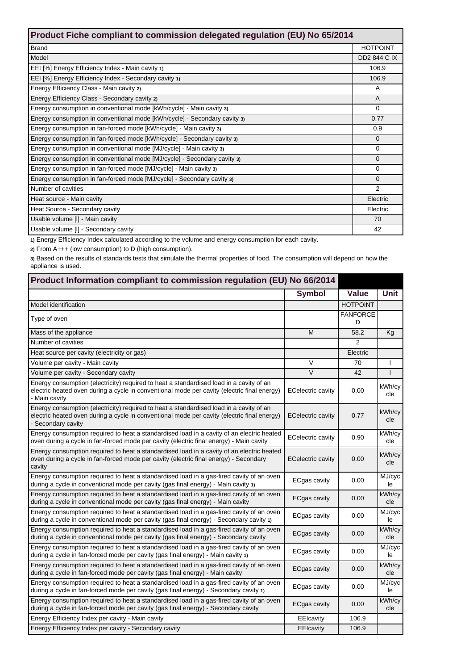| Product Fiche compliant to commission delegated regulation (EU) No 65/2014 |                     |  |
|----------------------------------------------------------------------------|---------------------|--|
| <b>Brand</b>                                                               | <b>HOTPOINT</b>     |  |
| Model                                                                      | <b>DD2 844 C IX</b> |  |
| EEI [%] Energy Efficiency Index - Main cavity 1)                           | 106.9               |  |
| EEI [%] Energy Efficiency Index - Secondary cavity 1)                      | 106.9               |  |
| Energy Efficiency Class - Main cavity 2)                                   | A                   |  |
| Energy Efficiency Class - Secondary cavity 2)                              | A                   |  |
| Energy consumption in conventional mode [kWh/cycle] - Main cavity 3)       | $\Omega$            |  |
| Energy consumption in conventional mode [kWh/cycle] - Secondary cavity 3)  | 0.77                |  |
| Energy consumption in fan-forced mode [kWh/cycle] - Main cavity 3)         | 0.9                 |  |
| Energy consumption in fan-forced mode [kWh/cycle] - Secondary cavity 3)    | $\Omega$            |  |
| Energy consumption in conventional mode [MJ/cycle] - Main cavity 3)        | $\Omega$            |  |
| Energy consumption in conventional mode [MJ/cycle] - Secondary cavity 3)   | $\mathbf 0$         |  |
| Energy consumption in fan-forced mode [MJ/cycle] - Main cavity 3)          | $\Omega$            |  |
| Energy consumption in fan-forced mode [MJ/cycle] - Secondary cavity 3)     | $\Omega$            |  |
| Number of cavities                                                         | $\overline{2}$      |  |
| Heat source - Main cavity                                                  | Electric            |  |
| Heat Source - Secondary cavity                                             | Electric            |  |
| Usable volume [I] - Main cavity                                            | 70                  |  |
| Usable volume [I] - Secondary cavity                                       | 42                  |  |

**1)** Energy Efficiency Index calculated according to the volume and energy consumption for each cavity.

**2)** From A+++ (low consumption) to D (high consumption).

**3)** Based on the results of standards tests that simulate the thermal properties of food. The consumption will depend on how the appliance is used.

| Product Information compliant to commission regulation (EU) No 66/2014                                                                                                                                       |                          |                      |               |
|--------------------------------------------------------------------------------------------------------------------------------------------------------------------------------------------------------------|--------------------------|----------------------|---------------|
|                                                                                                                                                                                                              | <b>Symbol</b>            | <b>Value</b>         | <b>Unit</b>   |
| Model identification                                                                                                                                                                                         |                          | <b>HOTPOINT</b>      |               |
| Type of oven                                                                                                                                                                                                 |                          | <b>FANFORCE</b><br>D |               |
| Mass of the appliance                                                                                                                                                                                        | M                        | 58.2                 | Kg            |
| Number of cavities                                                                                                                                                                                           |                          | 2                    |               |
| Heat source per cavity (electricity or gas)                                                                                                                                                                  |                          | Electric             |               |
| Volume per cavity - Main cavity                                                                                                                                                                              | $\vee$                   | 70                   |               |
| Volume per cavity - Secondary cavity                                                                                                                                                                         | $\vee$                   | 42                   | $\mathbf{I}$  |
| Energy consumption (electricity) required to heat a standardised load in a cavity of an<br>electric heated oven during a cycle in conventional mode per cavity (electric final energy)<br>- Main cavity      | <b>ECelectric cavity</b> | 0.00                 | kWh/cy<br>cle |
| Energy consumption (electricity) required to heat a standardised load in a cavity of an<br>electric heated oven during a cycle in conventional mode per cavity (electric final energy)<br>- Secondary cavity | <b>ECelectric cavity</b> | 0.77                 | kWh/cy<br>cle |
| Energy consumption required to heat a standardised load in a cavity of an electric heated<br>oven during a cycle in fan-forced mode per cavity (electric final energy) - Main cavity                         | <b>ECelectric cavity</b> | 0.90                 | kWh/cy<br>cle |
| Energy consumption required to heat a standardised load in a cavity of an electric heated<br>oven during a cycle in fan-forced mode per cavity (electric final energy) - Secondary<br>cavity                 | <b>ECelectric cavity</b> | 0.00                 | kWh/cy<br>cle |
| Energy consumption required to heat a standardised load in a gas-fired cavity of an oven<br>during a cycle in conventional mode per cavity (gas final energy) - Main cavity 1)                               | ECgas cavity             | 0.00                 | MJ/cyc<br>le  |
| Energy consumption required to heat a standardised load in a gas-fired cavity of an oven<br>during a cycle in conventional mode per cavity (gas final energy) - Main cavity                                  | <b>ECgas cavity</b>      | 0.00                 | kWh/cy<br>cle |
| Energy consumption required to heat a standardised load in a gas-fired cavity of an oven<br>during a cycle in conventional mode per cavity (gas final energy) - Secondary cavity 1)                          | <b>ECgas cavity</b>      | 0.00                 | MJ/cyc<br>le  |
| Energy consumption required to heat a standardised load in a gas-fired cavity of an oven<br>during a cycle in conventional mode per cavity (gas final energy) - Secondary cavity                             | <b>ECgas cavity</b>      | 0.00                 | kWh/cy<br>cle |
| Energy consumption required to heat a standardised load in a gas-fired cavity of an oven<br>during a cycle in fan-forced mode per cavity (gas final energy) - Main cavity 1)                                 | ECgas cavity             | 0.00                 | MJ/cyc<br>le  |
| Energy consumption required to heat a standardised load in a gas-fired cavity of an oven<br>during a cycle in fan-forced mode per cavity (gas final energy) - Main cavity                                    | <b>ECgas cavity</b>      | 0.00                 | kWh/cy<br>cle |
| Energy consumption required to heat a standardised load in a gas-fired cavity of an oven<br>during a cycle in fan-forced mode per cavity (gas final energy) - Secondary cavity 1)                            | <b>ECgas cavity</b>      | 0.00                 | MJ/cyc<br>le  |
| Energy consumption required to heat a standardised load in a gas-fired cavity of an oven<br>during a cycle in fan-forced mode per cavity (gas final energy) - Secondary cavity                               | <b>ECgas cavity</b>      | 0.00                 | kWh/cy<br>cle |
| Energy Efficiency Index per cavity - Main cavity                                                                                                                                                             | EEIcavity                | 106.9                |               |
| Energy Efficiency Index per cavity - Secondary cavity                                                                                                                                                        | EEIcavity                | 106.9                |               |